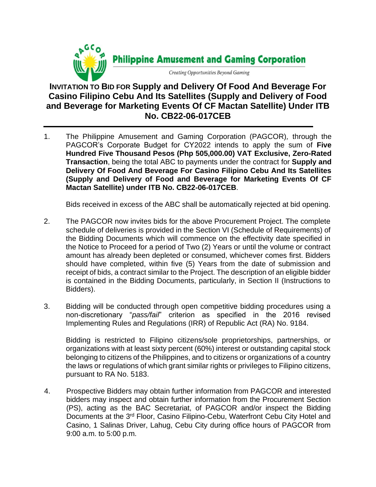

## **INVITATION TO BID FOR Supply and Delivery Of Food And Beverage For Casino Filipino Cebu And Its Satellites (Supply and Delivery of Food and Beverage for Marketing Events Of CF Mactan Satellite) Under ITB No. CB22-06-017CEB**

1. The Philippine Amusement and Gaming Corporation (PAGCOR)*,* through the PAGCOR's Corporate Budget for CY2022 intends to apply the sum of **Five Hundred Five Thousand Pesos (Php 505,000.00) VAT Exclusive, Zero-Rated Transaction**, being the total ABC to payments under the contract for **Supply and Delivery Of Food And Beverage For Casino Filipino Cebu And Its Satellites (Supply and Delivery of Food and Beverage for Marketing Events Of CF Mactan Satellite) under ITB No. CB22-06-017CEB**.

Bids received in excess of the ABC shall be automatically rejected at bid opening.

- 2. The PAGCOR now invites bids for the above Procurement Project. The complete schedule of deliveries is provided in the Section VI (Schedule of Requirements) of the Bidding Documents which will commence on the effectivity date specified in the Notice to Proceed for a period of Two (2) Years or until the volume or contract amount has already been depleted or consumed, whichever comes first. Bidders should have completed, within five (5) Years from the date of submission and receipt of bids, a contract similar to the Project. The description of an eligible bidder is contained in the Bidding Documents, particularly, in Section II (Instructions to Bidders).
- 3. Bidding will be conducted through open competitive bidding procedures using a non-discretionary "*pass/fail*" criterion as specified in the 2016 revised Implementing Rules and Regulations (IRR) of Republic Act (RA) No. 9184.

Bidding is restricted to Filipino citizens/sole proprietorships, partnerships, or organizations with at least sixty percent (60%) interest or outstanding capital stock belonging to citizens of the Philippines, and to citizens or organizations of a country the laws or regulations of which grant similar rights or privileges to Filipino citizens, pursuant to RA No. 5183.

4. Prospective Bidders may obtain further information from PAGCOR and interested bidders may inspect and obtain further information from the Procurement Section (PS), acting as the BAC Secretariat, of PAGCOR and/or inspect the Bidding Documents at the 3<sup>rd</sup> Floor, Casino Filipino-Cebu, Waterfront Cebu City Hotel and Casino, 1 Salinas Driver, Lahug, Cebu City during office hours of PAGCOR from 9:00 a.m. to 5:00 p.m.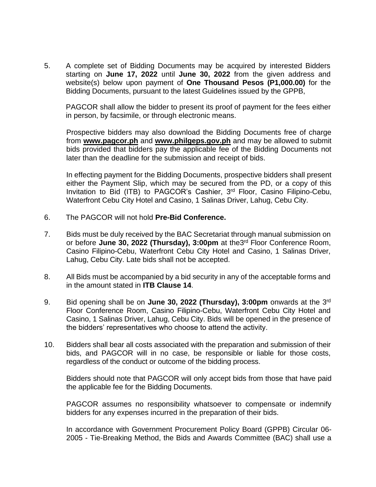5. A complete set of Bidding Documents may be acquired by interested Bidders starting on **June 17, 2022** until **June 30, 2022** from the given address and website(s) below upon payment of **One Thousand Pesos (P1,000.00)** for the Bidding Documents, pursuant to the latest Guidelines issued by the GPPB,

PAGCOR shall allow the bidder to present its proof of payment for the fees either in person, by facsimile, or through electronic means.

Prospective bidders may also download the Bidding Documents free of charge from **[www.pagcor.ph](http://www.pagcor.ph/)** and **www.philgeps.gov.ph** and may be allowed to submit bids provided that bidders pay the applicable fee of the Bidding Documents not later than the deadline for the submission and receipt of bids.

In effecting payment for the Bidding Documents, prospective bidders shall present either the Payment Slip, which may be secured from the PD, or a copy of this Invitation to Bid (ITB) to PAGCOR's Cashier, 3<sup>rd</sup> Floor, Casino Filipino-Cebu, Waterfront Cebu City Hotel and Casino, 1 Salinas Driver, Lahug, Cebu City.

- 6. The PAGCOR will not hold **Pre-Bid Conference.**
- 7. Bids must be duly received by the BAC Secretariat through manual submission on or before June 30, 2022 (Thursday), 3:00pm at the3<sup>rd</sup> Floor Conference Room, Casino Filipino-Cebu, Waterfront Cebu City Hotel and Casino, 1 Salinas Driver, Lahug, Cebu City. Late bids shall not be accepted.
- 8. All Bids must be accompanied by a bid security in any of the acceptable forms and in the amount stated in **ITB Clause 14**.
- 9. Bid opening shall be on **June 30, 2022 (Thursday), 3:00pm** onwards at the 3<sup>rd</sup> Floor Conference Room, Casino Filipino-Cebu, Waterfront Cebu City Hotel and Casino, 1 Salinas Driver, Lahug, Cebu City. Bids will be opened in the presence of the bidders' representatives who choose to attend the activity.
- 10. Bidders shall bear all costs associated with the preparation and submission of their bids, and PAGCOR will in no case, be responsible or liable for those costs, regardless of the conduct or outcome of the bidding process.

Bidders should note that PAGCOR will only accept bids from those that have paid the applicable fee for the Bidding Documents.

PAGCOR assumes no responsibility whatsoever to compensate or indemnify bidders for any expenses incurred in the preparation of their bids.

In accordance with Government Procurement Policy Board (GPPB) Circular 06- 2005 - Tie-Breaking Method, the Bids and Awards Committee (BAC) shall use a